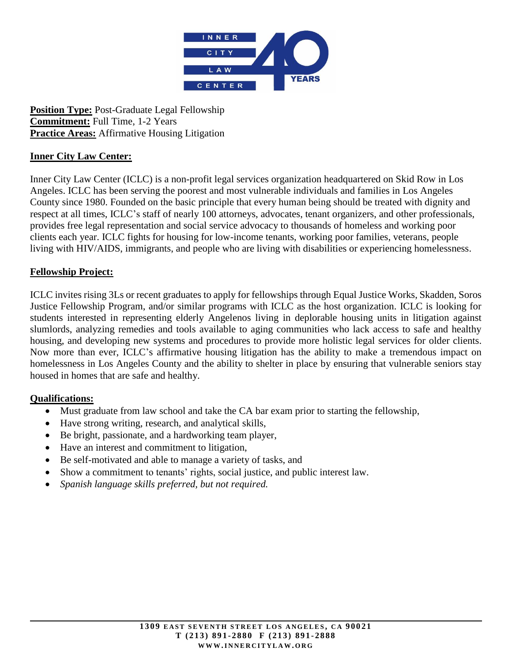

**Position Type:** Post-Graduate Legal Fellowship **Commitment:** Full Time, 1-2 Years **Practice Areas:** Affirmative Housing Litigation

# **Inner City Law Center:**

Inner City Law Center (ICLC) is a non-profit legal services organization headquartered on Skid Row in Los Angeles. ICLC has been serving the poorest and most vulnerable individuals and families in Los Angeles County since 1980. Founded on the basic principle that every human being should be treated with dignity and respect at all times, ICLC's staff of nearly 100 attorneys, advocates, tenant organizers, and other professionals, provides free legal representation and social service advocacy to thousands of homeless and working poor clients each year. ICLC fights for housing for low-income tenants, working poor families, veterans, people living with HIV/AIDS, immigrants, and people who are living with disabilities or experiencing homelessness.

### **Fellowship Project:**

ICLC invites rising 3Ls or recent graduates to apply for fellowships through Equal Justice Works, Skadden, Soros Justice Fellowship Program, and/or similar programs with ICLC as the host organization. ICLC is looking for students interested in representing elderly Angelenos living in deplorable housing units in litigation against slumlords, analyzing remedies and tools available to aging communities who lack access to safe and healthy housing, and developing new systems and procedures to provide more holistic legal services for older clients. Now more than ever, ICLC's affirmative housing litigation has the ability to make a tremendous impact on homelessness in Los Angeles County and the ability to shelter in place by ensuring that vulnerable seniors stay housed in homes that are safe and healthy.

### **Qualifications:**

- Must graduate from law school and take the CA bar exam prior to starting the fellowship,
- Have strong writing, research, and analytical skills,
- Be bright, passionate, and a hardworking team player,
- Have an interest and commitment to litigation,
- Be self-motivated and able to manage a variety of tasks, and
- Show a commitment to tenants' rights, social justice, and public interest law.
- *Spanish language skills preferred, but not required.*